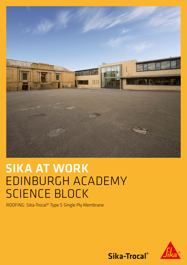

# SIKA AT WORK EDINBURGH ACADEMY SCIENCE BLOCK

ROOFING: Sika-Trocal® Type S Single Ply Membrane



Sika-Trocal®